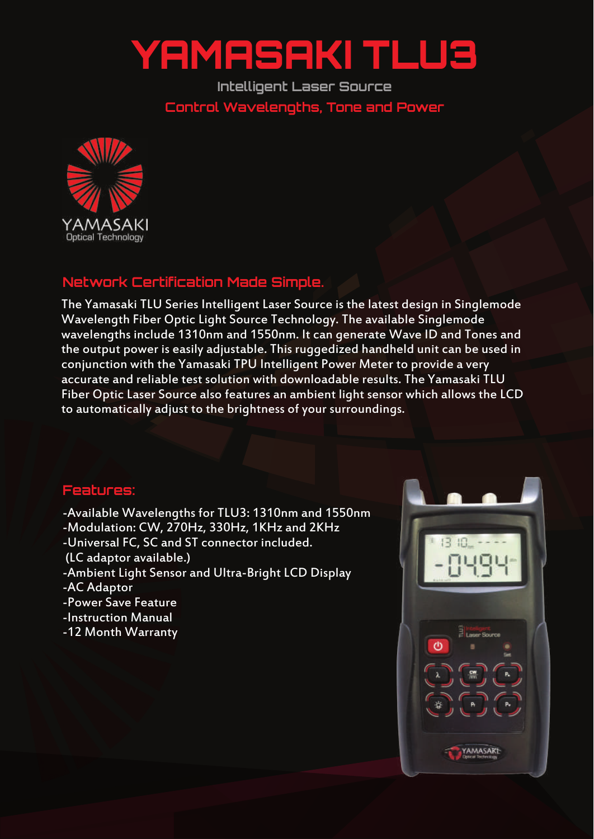## YAMASAKI TLU3

**Intelligent Laser Source Control Wavelengths, Tone and Power**



## **Network Certification Made Simple.**

The Yamasaki TLU Series Intelligent Laser Source is the latest design in Singlemode Wavelength Fiber Optic Light Source Technology. The available Singlemode wavelengths include 1310nm and 1550nm. It can generate Wave ID and Tones and the output power is easily adjustable. This ruggedized handheld unit can be used in conjunction with the Yamasaki TPU Intelligent Power Meter to provide a very accurate and reliable test solution with downloadable results. The Yamasaki TLU Fiber Optic Laser Source also features an ambient light sensor which allows the LCD to automatically adjust to the brightness of your surroundings.

## **Features:**

-Available Wavelengths for TLU3: 1310nm and 1550nm -Modulation: CW, 270Hz, 330Hz, 1KHz and 2KHz -Universal FC, SC and ST connector included. (LC adaptor available.) -Ambient Light Sensor and Ultra-Bright LCD Display -AC Adaptor -Power Save Feature -Instruction Manual -12 Month Warranty